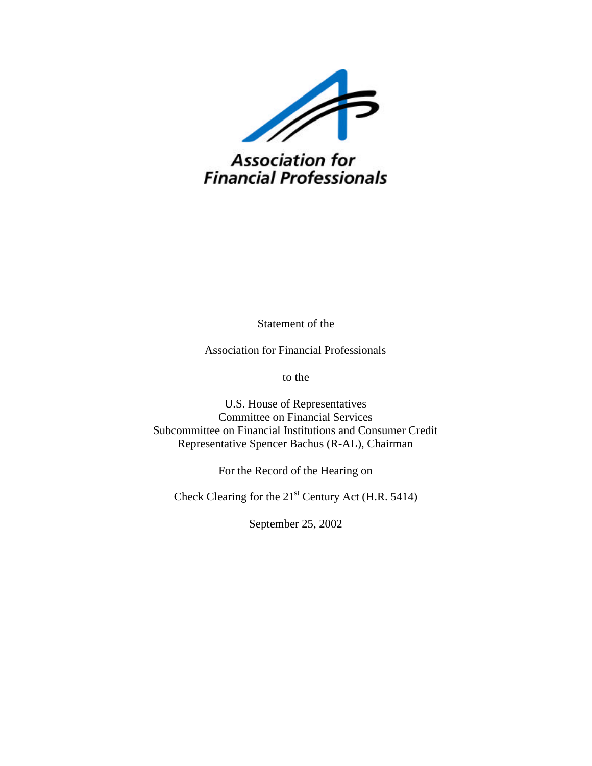

**Association for<br>Financial Professionals** 

Statement of the

Association for Financial Professionals

to the

U.S. House of Representatives Committee on Financial Services Subcommittee on Financial Institutions and Consumer Credit Representative Spencer Bachus (R-AL), Chairman

For the Record of the Hearing on

Check Clearing for the 21<sup>st</sup> Century Act (H.R. 5414)

September 25, 2002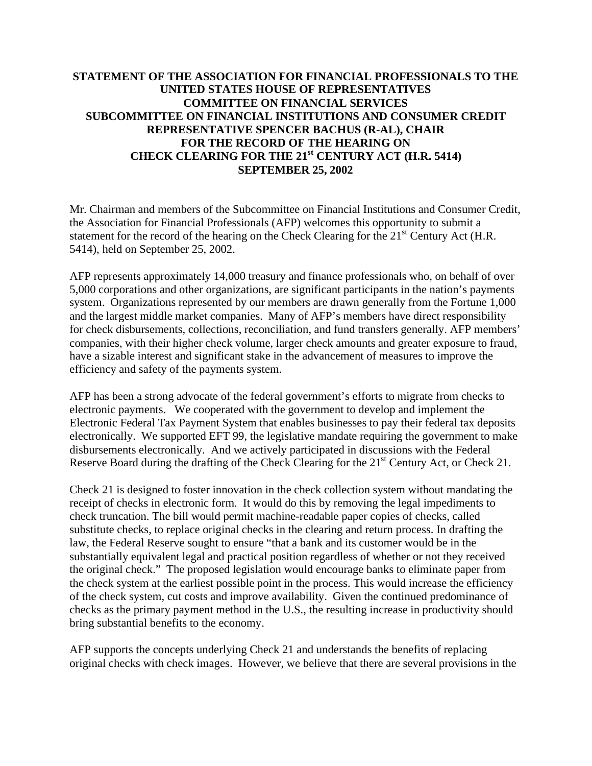# **STATEMENT OF THE ASSOCIATION FOR FINANCIAL PROFESSIONALS TO THE UNITED STATES HOUSE OF REPRESENTATIVES COMMITTEE ON FINANCIAL SERVICES SUBCOMMITTEE ON FINANCIAL INSTITUTIONS AND CONSUMER CREDIT REPRESENTATIVE SPENCER BACHUS (R-AL), CHAIR FOR THE RECORD OF THE HEARING ON CHECK CLEARING FOR THE 21st CENTURY ACT (H.R. 5414) SEPTEMBER 25, 2002**

Mr. Chairman and members of the Subcommittee on Financial Institutions and Consumer Credit, the Association for Financial Professionals (AFP) welcomes this opportunity to submit a statement for the record of the hearing on the Check Clearing for the 21<sup>st</sup> Century Act (H.R. 5414), held on September 25, 2002.

AFP represents approximately 14,000 treasury and finance professionals who, on behalf of over 5,000 corporations and other organizations, are significant participants in the nation's payments system. Organizations represented by our members are drawn generally from the Fortune 1,000 and the largest middle market companies. Many of AFP's members have direct responsibility for check disbursements, collections, reconciliation, and fund transfers generally. AFP members' companies, with their higher check volume, larger check amounts and greater exposure to fraud, have a sizable interest and significant stake in the advancement of measures to improve the efficiency and safety of the payments system.

AFP has been a strong advocate of the federal government's efforts to migrate from checks to electronic payments. We cooperated with the government to develop and implement the Electronic Federal Tax Payment System that enables businesses to pay their federal tax deposits electronically. We supported EFT 99, the legislative mandate requiring the government to make disbursements electronically. And we actively participated in discussions with the Federal Reserve Board during the drafting of the Check Clearing for the 21<sup>st</sup> Century Act, or Check 21.

Check 21 is designed to foster innovation in the check collection system without mandating the receipt of checks in electronic form. It would do this by removing the legal impediments to check truncation. The bill would permit machine-readable paper copies of checks, called substitute checks, to replace original checks in the clearing and return process. In drafting the law, the Federal Reserve sought to ensure "that a bank and its customer would be in the substantially equivalent legal and practical position regardless of whether or not they received the original check." The proposed legislation would encourage banks to eliminate paper from the check system at the earliest possible point in the process. This would increase the efficiency of the check system, cut costs and improve availability. Given the continued predominance of checks as the primary payment method in the U.S., the resulting increase in productivity should bring substantial benefits to the economy.

AFP supports the concepts underlying Check 21 and understands the benefits of replacing original checks with check images. However, we believe that there are several provisions in the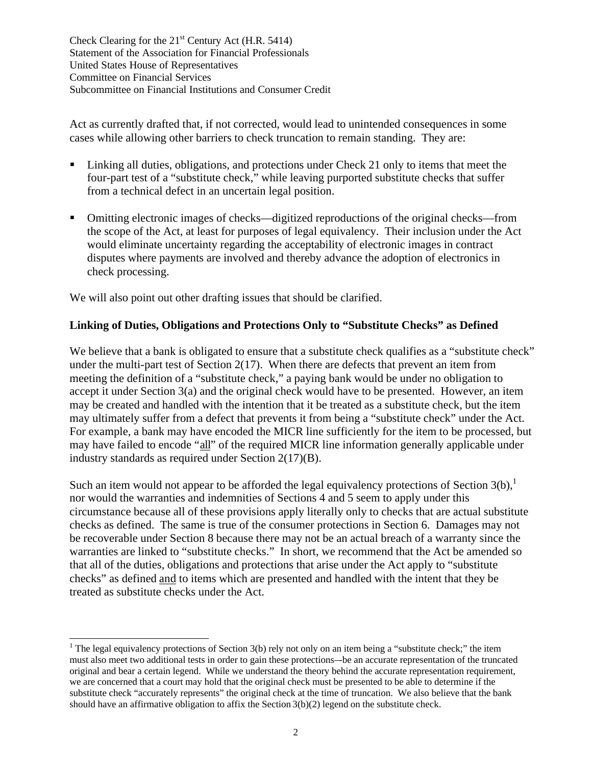Act as currently drafted that, if not corrected, would lead to unintended consequences in some cases while allowing other barriers to check truncation to remain standing. They are:

- ß Linking all duties, obligations, and protections under Check 21 only to items that meet the four-part test of a "substitute check," while leaving purported substitute checks that suffer from a technical defect in an uncertain legal position.
- ß Omitting electronic images of checks—digitized reproductions of the original checks—from the scope of the Act, at least for purposes of legal equivalency. Their inclusion under the Act would eliminate uncertainty regarding the acceptability of electronic images in contract disputes where payments are involved and thereby advance the adoption of electronics in check processing.

We will also point out other drafting issues that should be clarified.

 $\overline{a}$ 

# **Linking of Duties, Obligations and Protections Only to "Substitute Checks" as Defined**

We believe that a bank is obligated to ensure that a substitute check qualifies as a "substitute check" under the multi-part test of Section  $2(17)$ . When there are defects that prevent an item from meeting the definition of a "substitute check," a paying bank would be under no obligation to accept it under Section 3(a) and the original check would have to be presented. However, an item may be created and handled with the intention that it be treated as a substitute check, but the item may ultimately suffer from a defect that prevents it from being a "substitute check" under the Act. For example, a bank may have encoded the MICR line sufficiently for the item to be processed, but may have failed to encode "all" of the required MICR line information generally applicable under industry standards as required under Section 2(17)(B).

Such an item would not appear to be afforded the legal equivalency protections of Section  $3(b)$ ,<sup>1</sup> nor would the warranties and indemnities of Sections 4 and 5 seem to apply under this circumstance because all of these provisions apply literally only to checks that are actual substitute checks as defined. The same is true of the consumer protections in Section 6. Damages may not be recoverable under Section 8 because there may not be an actual breach of a warranty since the warranties are linked to "substitute checks." In short, we recommend that the Act be amended so that all of the duties, obligations and protections that arise under the Act apply to "substitute checks" as defined and to items which are presented and handled with the intent that they be treated as substitute checks under the Act.

<sup>&</sup>lt;sup>1</sup> The legal equivalency protections of Section 3(b) rely not only on an item being a "substitute check;" the item must also meet two additional tests in order to gain these protections–-be an accurate representation of the truncated original and bear a certain legend. While we understand the theory behind the accurate representation requirement, we are concerned that a court may hold that the original check must be presented to be able to determine if the substitute check "accurately represents" the original check at the time of truncation. We also believe that the bank should have an affirmative obligation to affix the Section 3(b)(2) legend on the substitute check.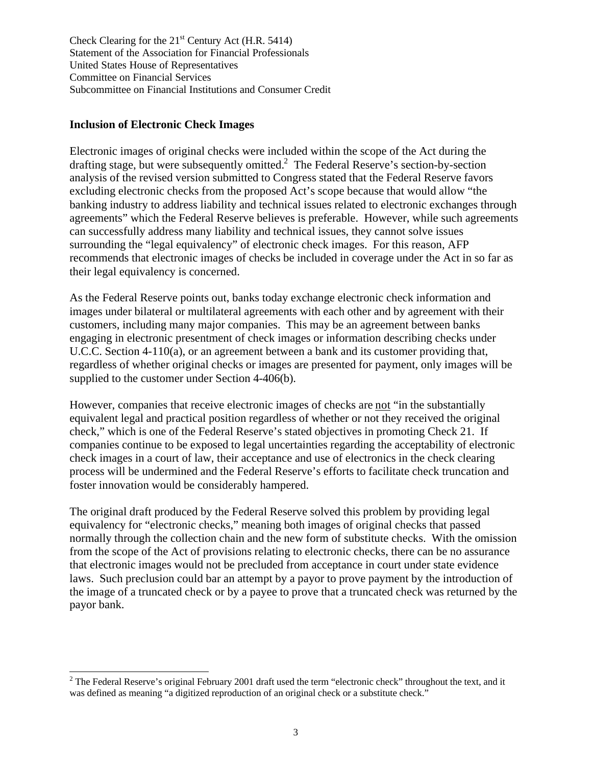## **Inclusion of Electronic Check Images**

 $\overline{a}$ 

Electronic images of original checks were included within the scope of the Act during the drafting stage, but were subsequently omitted.<sup>2</sup> The Federal Reserve's section-by-section analysis of the revised version submitted to Congress stated that the Federal Reserve favors excluding electronic checks from the proposed Act's scope because that would allow "the banking industry to address liability and technical issues related to electronic exchanges through agreements" which the Federal Reserve believes is preferable. However, while such agreements can successfully address many liability and technical issues, they cannot solve issues surrounding the "legal equivalency" of electronic check images. For this reason, AFP recommends that electronic images of checks be included in coverage under the Act in so far as their legal equivalency is concerned.

As the Federal Reserve points out, banks today exchange electronic check information and images under bilateral or multilateral agreements with each other and by agreement with their customers, including many major companies. This may be an agreement between banks engaging in electronic presentment of check images or information describing checks under U.C.C. Section 4-110(a), or an agreement between a bank and its customer providing that, regardless of whether original checks or images are presented for payment, only images will be supplied to the customer under Section 4-406(b).

However, companies that receive electronic images of checks are not "in the substantially equivalent legal and practical position regardless of whether or not they received the original check," which is one of the Federal Reserve's stated objectives in promoting Check 21. If companies continue to be exposed to legal uncertainties regarding the acceptability of electronic check images in a court of law, their acceptance and use of electronics in the check clearing process will be undermined and the Federal Reserve's efforts to facilitate check truncation and foster innovation would be considerably hampered.

The original draft produced by the Federal Reserve solved this problem by providing legal equivalency for "electronic checks," meaning both images of original checks that passed normally through the collection chain and the new form of substitute checks. With the omission from the scope of the Act of provisions relating to electronic checks, there can be no assurance that electronic images would not be precluded from acceptance in court under state evidence laws. Such preclusion could bar an attempt by a payor to prove payment by the introduction of the image of a truncated check or by a payee to prove that a truncated check was returned by the payor bank.

<sup>&</sup>lt;sup>2</sup> The Federal Reserve's original February 2001 draft used the term "electronic check" throughout the text, and it was defined as meaning "a digitized reproduction of an original check or a substitute check."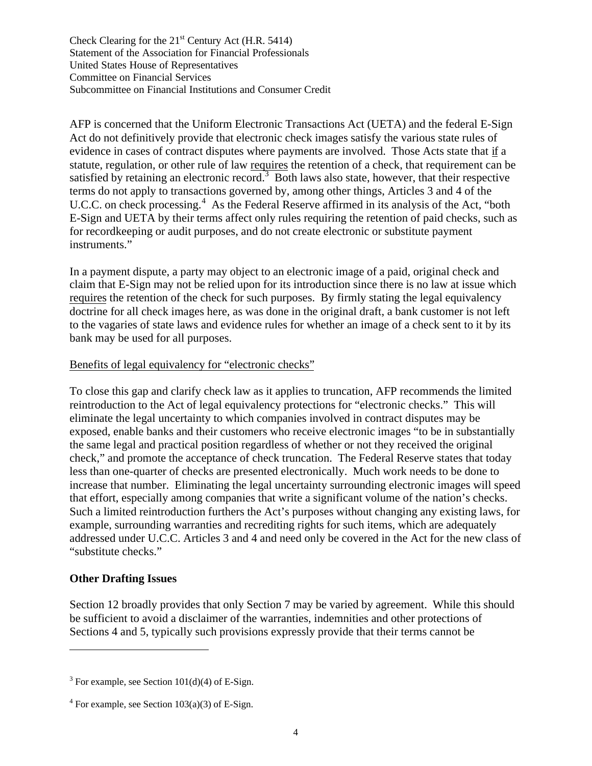AFP is concerned that the Uniform Electronic Transactions Act (UETA) and the federal E-Sign Act do not definitively provide that electronic check images satisfy the various state rules of evidence in cases of contract disputes where payments are involved. Those Acts state that if a statute, regulation, or other rule of law requires the retention of a check, that requirement can be satisfied by retaining an electronic record.<sup>3</sup> Both laws also state, however, that their respective terms do not apply to transactions governed by, among other things, Articles 3 and 4 of the U.C.C. on check processing.<sup>4</sup> As the Federal Reserve affirmed in its analysis of the Act, "both E-Sign and UETA by their terms affect only rules requiring the retention of paid checks, such as for recordkeeping or audit purposes, and do not create electronic or substitute payment instruments."

In a payment dispute, a party may object to an electronic image of a paid, original check and claim that E-Sign may not be relied upon for its introduction since there is no law at issue which requires the retention of the check for such purposes. By firmly stating the legal equivalency doctrine for all check images here, as was done in the original draft, a bank customer is not left to the vagaries of state laws and evidence rules for whether an image of a check sent to it by its bank may be used for all purposes.

#### Benefits of legal equivalency for "electronic checks"

To close this gap and clarify check law as it applies to truncation, AFP recommends the limited reintroduction to the Act of legal equivalency protections for "electronic checks." This will eliminate the legal uncertainty to which companies involved in contract disputes may be exposed, enable banks and their customers who receive electronic images "to be in substantially the same legal and practical position regardless of whether or not they received the original check," and promote the acceptance of check truncation. The Federal Reserve states that today less than one-quarter of checks are presented electronically. Much work needs to be done to increase that number. Eliminating the legal uncertainty surrounding electronic images will speed that effort, especially among companies that write a significant volume of the nation's checks. Such a limited reintroduction furthers the Act's purposes without changing any existing laws, for example, surrounding warranties and recrediting rights for such items, which are adequately addressed under U.C.C. Articles 3 and 4 and need only be covered in the Act for the new class of "substitute checks."

#### **Other Drafting Issues**

-

Section 12 broadly provides that only Section 7 may be varied by agreement. While this should be sufficient to avoid a disclaimer of the warranties, indemnities and other protections of Sections 4 and 5, typically such provisions expressly provide that their terms cannot be

 $3$  For example, see Section 101(d)(4) of E-Sign.

 $4$  For example, see Section 103(a)(3) of E-Sign.